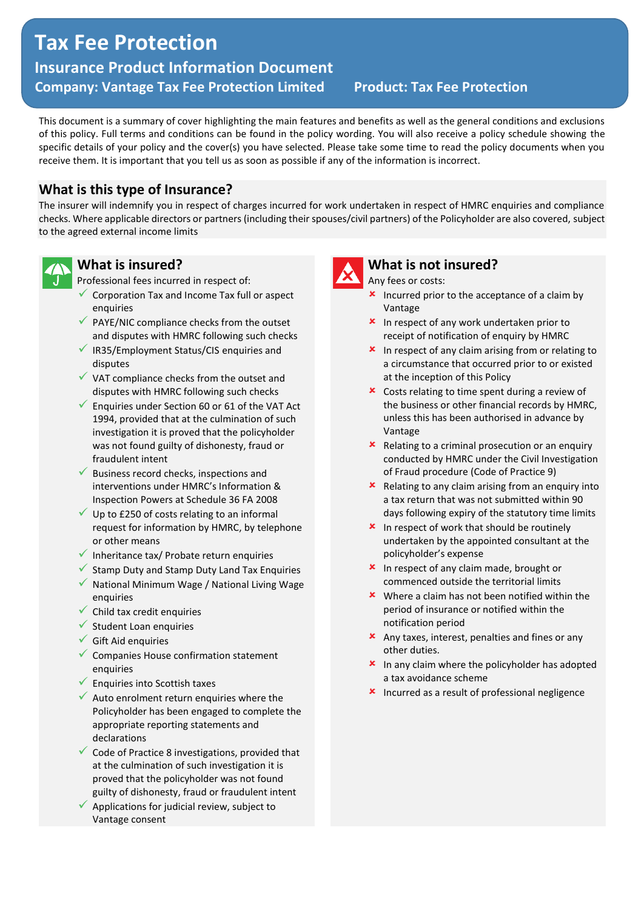# **Tax Fee Protection- Tax Fee Protection**

**Insurance Product Information Document Company: Vantage Tax Fee Protection Limited Product: Tax Fee Protection**

This document is a summary of cover highlighting the main features and benefits as well as the general conditions and exclusions of this policy. Full terms and conditions can be found in the policy wording. You will also receive a policy schedule showing the specific details of your policy and the cover(s) you have selected. Please take some time to read the policy documents when you receive them. It is important that you tell us as soon as possible if any of the information is incorrect.

# **What is this type of Insurance?**

The insurer will indemnify you in respect of charges incurred for work undertaken in respect of HMRC enquiries and compliance checks. Where applicable directors or partners (including their spouses/civil partners) of the Policyholder are also covered, subject to the agreed external income limits



#### **What is insured?**

Professional fees incurred in respect of:

- $\checkmark$  Corporation Tax and Income Tax full or aspect enquiries
- $\checkmark$  PAYE/NIC compliance checks from the outset and disputes with HMRC following such checks
- ✓ IR35/Employment Status/CIS enquiries and disputes
- $\checkmark$  VAT compliance checks from the outset and disputes with HMRC following such checks
- $\checkmark$  Enquiries under Section 60 or 61 of the VAT Act 1994, provided that at the culmination of such investigation it is proved that the policyholder was not found guilty of dishonesty, fraud or fraudulent intent
- $\checkmark$  Business record checks, inspections and interventions under HMRC's Information & Inspection Powers at Schedule 36 FA 2008
- $\checkmark$  Up to £250 of costs relating to an informal request for information by HMRC, by telephone or other means
- $\checkmark$  Inheritance tax/ Probate return enquiries
- ✓ Stamp Duty and Stamp Duty Land Tax Enquiries
- ✓ National Minimum Wage / National Living Wage enquiries
- $\checkmark$  Child tax credit enquiries
- $\checkmark$  Student Loan enquiries
- $\checkmark$  Gift Aid enquiries
- ✓ Companies House confirmation statement enquiries
- $\checkmark$  Enquiries into Scottish taxes
- $\checkmark$  Auto enrolment return enquiries where the Policyholder has been engaged to complete the appropriate reporting statements and declarations
- $\checkmark$  Code of Practice 8 investigations, provided that at the culmination of such investigation it is proved that the policyholder was not found guilty of dishonesty, fraud or fraudulent intent
- $\checkmark$  Applications for judicial review, subject to Vantage consent



# **What is not insured?**

Any fees or costs:

- $\frac{\text{L}}{\text{L}}$  Incurred prior to the acceptance of a claim by Vantage
- **\*** In respect of any work undertaken prior to receipt of notification of enquiry by HMRC
- $\frac{\text{L}}{\text{L}}$  In respect of any claim arising from or relating to a circumstance that occurred prior to or existed at the inception of this Policy
- Costs relating to time spent during a review of the business or other financial records by HMRC, unless this has been authorised in advance by Vantage
- $\boldsymbol{\times}$  Relating to a criminal prosecution or an enquiry conducted by HMRC under the Civil Investigation of Fraud procedure (Code of Practice 9)
- $\boldsymbol{\times}$  Relating to any claim arising from an enquiry into a tax return that was not submitted within 90 days following expiry of the statutory time limits
- $\frac{\text{L}}{\text{L}}$  In respect of work that should be routinely undertaken by the appointed consultant at the policyholder's expense
- **x** In respect of any claim made, brought or commenced outside the territorial limits
- **\*** Where a claim has not been notified within the period of insurance or notified within the notification period
- Any taxes, interest, penalties and fines or any other duties.
- $x$  In any claim where the policyholder has adopted a tax avoidance scheme
- **\*** Incurred as a result of professional negligence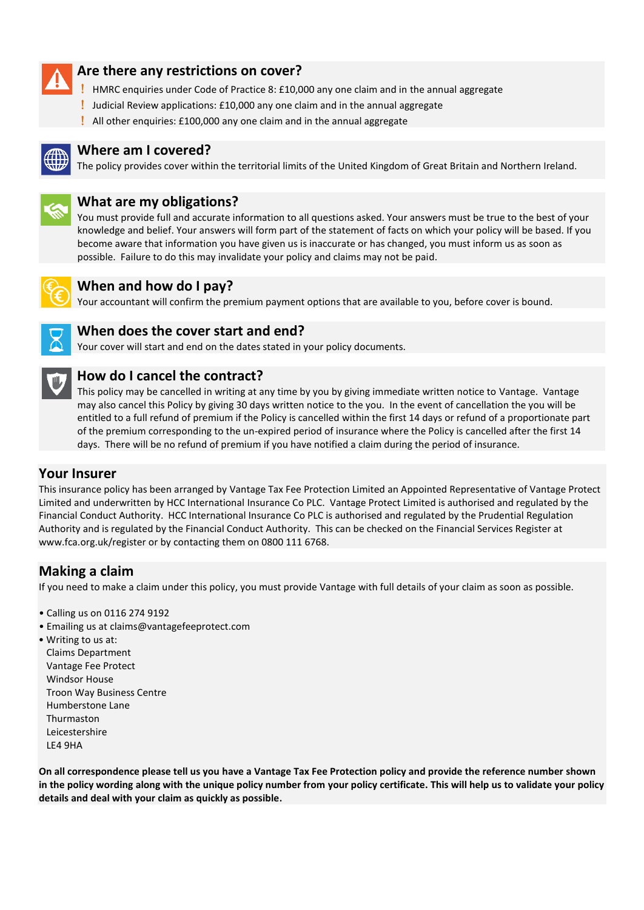

# **Are there any restrictions on cover?**

- HMRC enquiries under Code of Practice 8: £10,000 any one claim and in the annual aggregate
- Judicial Review applications: £10,000 any one claim and in the annual aggregate
- All other enquiries: £100,000 any one claim and in the annual aggregate



#### **Where am I covered?**

The policy provides cover within the territorial limits of the United Kingdom of Great Britain and Northern Ireland.



## **What are my obligations?**

You must provide full and accurate information to all questions asked. Your answers must be true to the best of your knowledge and belief. Your answers will form part of the statement of facts on which your policy will be based. If you become aware that information you have given us is inaccurate or has changed, you must inform us as soon as possible. Failure to do this may invalidate your policy and claims may not be paid.



#### **When and how do I pay?**

Your accountant will confirm the premium payment options that are available to you, before cover is bound.



# **When does the cover start and end?**

Your cover will start and end on the dates stated in your policy documents.



### **How do I cancel the contract?**

This policy may be cancelled in writing at any time by you by giving immediate written notice to Vantage. Vantage may also cancel this Policy by giving 30 days written notice to the you. In the event of cancellation the you will be entitled to a full refund of premium if the Policy is cancelled within the first 14 days or refund of a proportionate part of the premium corresponding to the un-expired period of insurance where the Policy is cancelled after the first 14 days. There will be no refund of premium if you have notified a claim during the period of insurance.

#### **Your Insurer**

This insurance policy has been arranged by Vantage Tax Fee Protection Limited an Appointed Representative of Vantage Protect Limited and underwritten by HCC International Insurance Co PLC. Vantage Protect Limited is authorised and regulated by the Financial Conduct Authority. HCC International Insurance Co PLC is authorised and regulated by the Prudential Regulation Authority and is regulated by the Financial Conduct Authority. This can be checked on the Financial Services Register at www.fca.org.uk/register or by contacting them on 0800 111 6768.

# **Making a claim**

If you need to make a claim under this policy, you must provide Vantage with full details of your claim as soon as possible.

- Calling us on 0116 274 9192
- Emailing us at claims@vantagefeeprotect.com
- Writing to us at: Claims Department Vantage Fee Protect Windsor House Troon Way Business Centre Humberstone Lane Thurmaston Leicestershire LE4 9HA

**On all correspondence please tell us you have a Vantage Tax Fee Protection policy and provide the reference number shown in the policy wording along with the unique policy number from your policy certificate. This will help us to validate your policy details and deal with your claim as quickly as possible.**